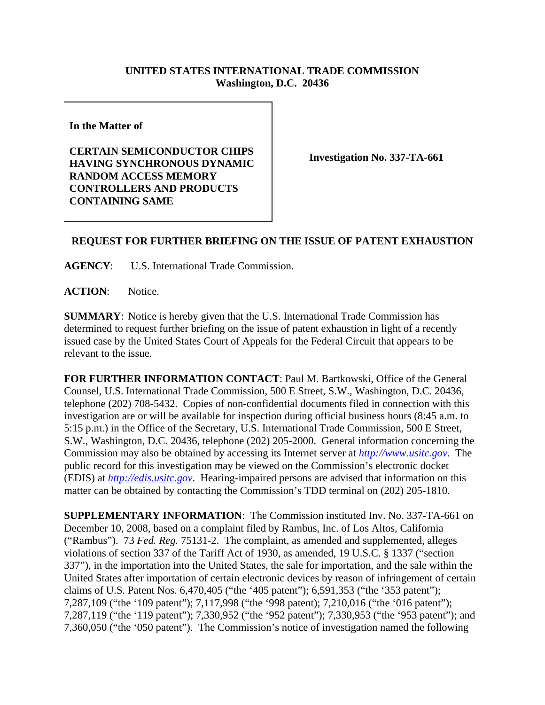## **UNITED STATES INTERNATIONAL TRADE COMMISSION Washington, D.C. 20436**

**In the Matter of** 

**CERTAIN SEMICONDUCTOR CHIPS HAVING SYNCHRONOUS DYNAMIC RANDOM ACCESS MEMORY CONTROLLERS AND PRODUCTS CONTAINING SAME**

**Investigation No. 337-TA-661**

## **REQUEST FOR FURTHER BRIEFING ON THE ISSUE OF PATENT EXHAUSTION**

**AGENCY**: U.S. International Trade Commission.

**ACTION**: Notice.

**SUMMARY**: Notice is hereby given that the U.S. International Trade Commission has determined to request further briefing on the issue of patent exhaustion in light of a recently issued case by the United States Court of Appeals for the Federal Circuit that appears to be relevant to the issue.

**FOR FURTHER INFORMATION CONTACT**: Paul M. Bartkowski, Office of the General Counsel, U.S. International Trade Commission, 500 E Street, S.W., Washington, D.C. 20436, telephone (202) 708-5432. Copies of non-confidential documents filed in connection with this investigation are or will be available for inspection during official business hours (8:45 a.m. to 5:15 p.m.) in the Office of the Secretary, U.S. International Trade Commission, 500 E Street, S.W., Washington, D.C. 20436, telephone (202) 205-2000. General information concerning the Commission may also be obtained by accessing its Internet server at *http://www.usitc.gov*. The public record for this investigation may be viewed on the Commission's electronic docket (EDIS) at *http://edis.usitc.gov*. Hearing-impaired persons are advised that information on this matter can be obtained by contacting the Commission's TDD terminal on (202) 205-1810.

**SUPPLEMENTARY INFORMATION**: The Commission instituted Inv. No. 337-TA-661 on December 10, 2008, based on a complaint filed by Rambus, Inc. of Los Altos, California ("Rambus"). 73 *Fed. Reg.* 75131-2. The complaint, as amended and supplemented, alleges violations of section 337 of the Tariff Act of 1930, as amended, 19 U.S.C. § 1337 ("section 337"), in the importation into the United States, the sale for importation, and the sale within the United States after importation of certain electronic devices by reason of infringement of certain claims of U.S. Patent Nos. 6,470,405 ("the '405 patent"); 6,591,353 ("the '353 patent"); 7,287,109 ("the '109 patent"); 7,117,998 ("the '998 patent); 7,210,016 ("the '016 patent"); 7,287,119 ("the '119 patent"); 7,330,952 ("the '952 patent"); 7,330,953 ("the '953 patent"); and 7,360,050 ("the '050 patent"). The Commission's notice of investigation named the following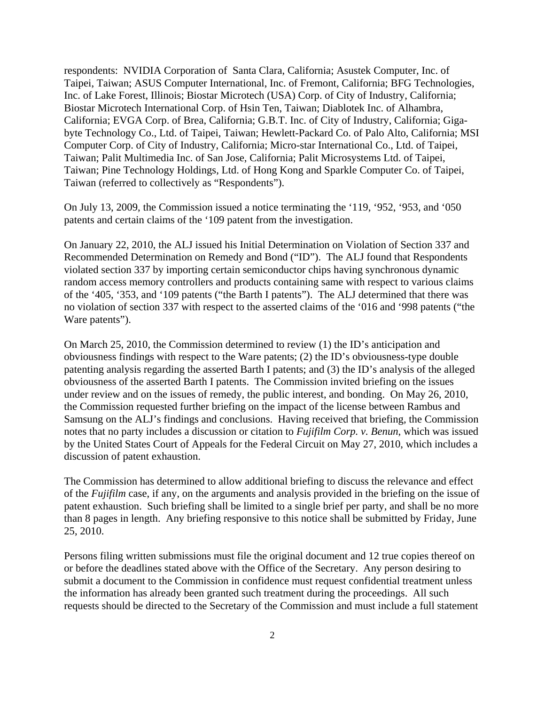respondents: NVIDIA Corporation of Santa Clara, California; Asustek Computer, Inc. of Taipei, Taiwan; ASUS Computer International, Inc. of Fremont, California; BFG Technologies, Inc. of Lake Forest, Illinois; Biostar Microtech (USA) Corp. of City of Industry, California; Biostar Microtech International Corp. of Hsin Ten, Taiwan; Diablotek Inc. of Alhambra, California; EVGA Corp. of Brea, California; G.B.T. Inc. of City of Industry, California; Gigabyte Technology Co., Ltd. of Taipei, Taiwan; Hewlett-Packard Co. of Palo Alto, California; MSI Computer Corp. of City of Industry, California; Micro-star International Co., Ltd. of Taipei, Taiwan; Palit Multimedia Inc. of San Jose, California; Palit Microsystems Ltd. of Taipei, Taiwan; Pine Technology Holdings, Ltd. of Hong Kong and Sparkle Computer Co. of Taipei, Taiwan (referred to collectively as "Respondents").

On July 13, 2009, the Commission issued a notice terminating the '119, '952, '953, and '050 patents and certain claims of the '109 patent from the investigation.

On January 22, 2010, the ALJ issued his Initial Determination on Violation of Section 337 and Recommended Determination on Remedy and Bond ("ID"). The ALJ found that Respondents violated section 337 by importing certain semiconductor chips having synchronous dynamic random access memory controllers and products containing same with respect to various claims of the '405, '353, and '109 patents ("the Barth I patents"). The ALJ determined that there was no violation of section 337 with respect to the asserted claims of the '016 and '998 patents ("the Ware patents").

On March 25, 2010, the Commission determined to review (1) the ID's anticipation and obviousness findings with respect to the Ware patents; (2) the ID's obviousness-type double patenting analysis regarding the asserted Barth I patents; and (3) the ID's analysis of the alleged obviousness of the asserted Barth I patents. The Commission invited briefing on the issues under review and on the issues of remedy, the public interest, and bonding. On May 26, 2010, the Commission requested further briefing on the impact of the license between Rambus and Samsung on the ALJ's findings and conclusions. Having received that briefing, the Commission notes that no party includes a discussion or citation to *Fujifilm Corp. v. Benun*, which was issued by the United States Court of Appeals for the Federal Circuit on May 27, 2010, which includes a discussion of patent exhaustion.

The Commission has determined to allow additional briefing to discuss the relevance and effect of the *Fujifilm* case, if any, on the arguments and analysis provided in the briefing on the issue of patent exhaustion. Such briefing shall be limited to a single brief per party, and shall be no more than 8 pages in length. Any briefing responsive to this notice shall be submitted by Friday, June 25, 2010.

Persons filing written submissions must file the original document and 12 true copies thereof on or before the deadlines stated above with the Office of the Secretary. Any person desiring to submit a document to the Commission in confidence must request confidential treatment unless the information has already been granted such treatment during the proceedings. All such requests should be directed to the Secretary of the Commission and must include a full statement